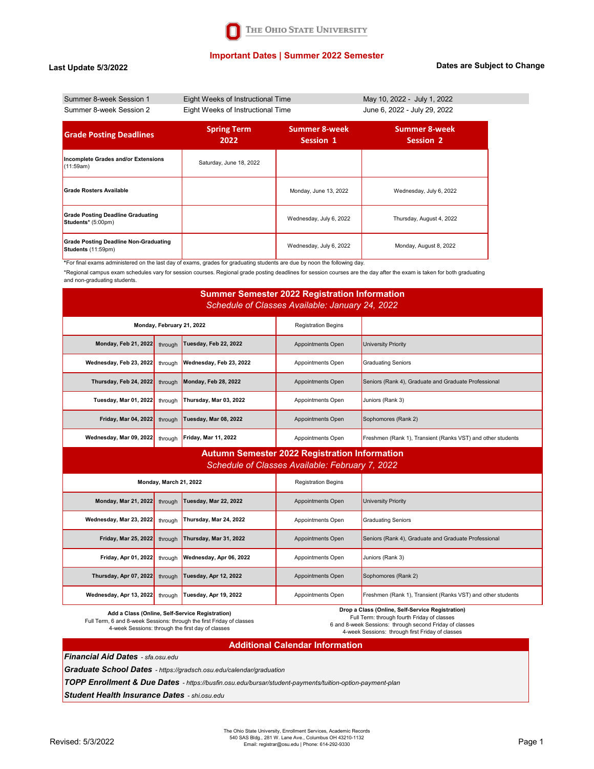## **Important Dates | Summer 2022 Semester**

#### **Last Update 5/3/2022**

#### **Dates are Subject to Change**

| Summer 8-week Session 1                                            | Eight Weeks of Instructional Time |                            | May 10, 2022 - July 1, 2022       |  |
|--------------------------------------------------------------------|-----------------------------------|----------------------------|-----------------------------------|--|
| Summer 8-week Session 2                                            | Eight Weeks of Instructional Time |                            | June 6, 2022 - July 29, 2022      |  |
| <b>Grade Posting Deadlines</b>                                     | <b>Spring Term</b><br>2022        | Summer 8-week<br>Session 1 | <b>Summer 8-week</b><br>Session 2 |  |
| Incomplete Grades and/or Extensions<br>(11:59am)                   | Saturday, June 18, 2022           |                            |                                   |  |
| <b>Grade Rosters Available</b>                                     |                                   | Monday, June 13, 2022      | Wednesday, July 6, 2022           |  |
| <b>Grade Posting Deadline Graduating</b><br>Students* (5:00pm)     |                                   | Wednesday, July 6, 2022    | Thursday, August 4, 2022          |  |
| <b>Grade Posting Deadline Non-Graduating</b><br>Students (11:59pm) |                                   | Wednesday, July 6, 2022    | Monday, August 8, 2022            |  |

**\***For final exams administered on the last day of exams, grades for graduating students are due by noon the following day.

\*Regional campus exam schedules vary for session courses. Regional grade posting deadlines for session courses are the day after the exam is taken for both graduating and non-graduating students.

### **Summer Semester 2022 Registration Information** *Schedule of Classes Available: January 24, 2022*

| Monday, February 21, 2022       |  | <b>Registration Begins</b>                         |                   |                                                             |
|---------------------------------|--|----------------------------------------------------|-------------------|-------------------------------------------------------------|
|                                 |  | Monday, Feb 21, 2022 through Tuesday, Feb 22, 2022 | Appointments Open | University Priority                                         |
| Wednesday, Feb 23, 2022 through |  | Wednesday, Feb 23, 2022                            | Appointments Open | <b>Graduating Seniors</b>                                   |
| Thursday, Feb 24, 2022 through  |  | Monday, Feb 28, 2022                               | Appointments Open | Seniors (Rank 4), Graduate and Graduate Professional        |
| Tuesday, Mar 01, 2022 through   |  | Thursday, Mar 03, 2022                             | Appointments Open | Juniors (Rank 3)                                            |
| Friday, Mar 04, 2022 through    |  | Tuesday, Mar 08, 2022                              | Appointments Open | Sophomores (Rank 2)                                         |
| Wednesday, Mar 09, 2022 through |  | <b>Friday, Mar 11, 2022</b>                        | Appointments Open | Freshmen (Rank 1), Transient (Ranks VST) and other students |

## **Autumn Semester 2022 Registration Information** *Schedule of Classes Available: February 7, 2022*

| Monday, March 21, 2022                           |         | <b>Registration Begins</b> |                   |                                                             |
|--------------------------------------------------|---------|----------------------------|-------------------|-------------------------------------------------------------|
| <b>Monday, Mar 21, 2022</b>                      | through | Tuesday, Mar 22, 2022      | Appointments Open | University Priority                                         |
| Wednesday, Mar 23, 2022                          | through | Thursday, Mar 24, 2022     | Appointments Open | <b>Graduating Seniors</b>                                   |
| <b>Friday, Mar 25, 2022</b>                      | through | Thursday, Mar 31, 2022     | Appointments Open | Seniors (Rank 4), Graduate and Graduate Professional        |
| Friday, Apr 01, 2022                             | through | Wednesday, Apr 06, 2022    | Appointments Open | Juniors (Rank 3)                                            |
| Thursday, Apr 07, 2022                           | through | Tuesday, Apr 12, 2022      | Appointments Open | Sophomores (Rank 2)                                         |
| Wednesday, Apr 13, 2022                          | through | Tuesday, Apr 19, 2022      | Appointments Open | Freshmen (Rank 1), Transient (Ranks VST) and other students |
| Drop a Class (Online, Self-Service Registration) |         |                            |                   |                                                             |

**Add a Class (Online, Self-Service Registration)**  Full Term, 6 and 8-week Sessions: through the first Friday of classes 4-week Sessions: through the first day of classes

**Drop a Class (Online, Self-Service Registration)** Full Term: through fourth Friday of classes

6 and 8-week Sessions: through second Friday of classes 4-week Sessions: through first Friday of classes

### **Additional Calendar Information**

*Financial Aid Dates - sfa.osu.edu*

*Graduate School Dates - https://gradsch.osu.edu/calendar/graduation*

*TOPP Enrollment & Due Dates - https://busfin.osu.edu/bursar/student-payments/tuition-option-payment-plan*

*Student Health Insurance Dates - shi.osu.edu*

The Ohio State University, Enrollment Services, Academic Records 540 SAS Bldg., 281 W. Lane Ave., Columbus OH 43210-1132<br>Email: registrar@osu.edu | Phone: 614-292-9330 Page 1